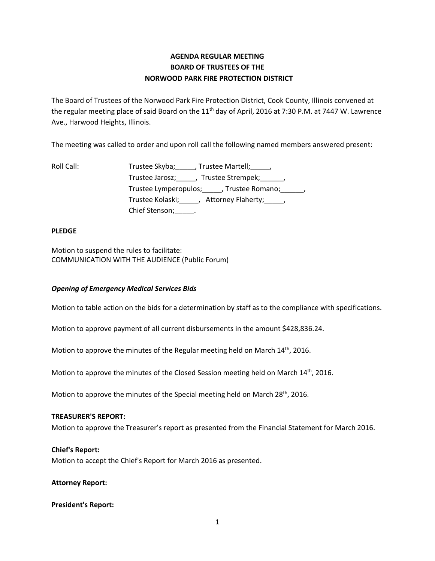# **AGENDA REGULAR MEETING BOARD OF TRUSTEES OF THE NORWOOD PARK FIRE PROTECTION DISTRICT**

The Board of Trustees of the Norwood Park Fire Protection District, Cook County, Illinois convened at the regular meeting place of said Board on the 11<sup>th</sup> day of April, 2016 at 7:30 P.M. at 7447 W. Lawrence Ave., Harwood Heights, Illinois.

The meeting was called to order and upon roll call the following named members answered present:

| Roll Call: | Trustee Skyba; , Trustee Martell; ,                  |
|------------|------------------------------------------------------|
|            | Trustee Jarosz; _____, Trustee Strempek; ______,     |
|            | Trustee Lymperopulos; _____, Trustee Romano; ______, |
|            | Trustee Kolaski; _____, Attorney Flaherty; _____,    |
|            | Chief Stenson; .                                     |

# **PLEDGE**

Motion to suspend the rules to facilitate: COMMUNICATION WITH THE AUDIENCE (Public Forum)

# *Opening of Emergency Medical Services Bids*

Motion to table action on the bids for a determination by staff as to the compliance with specifications.

Motion to approve payment of all current disbursements in the amount \$428,836.24.

Motion to approve the minutes of the Regular meeting held on March  $14<sup>th</sup>$ , 2016.

Motion to approve the minutes of the Closed Session meeting held on March 14<sup>th</sup>, 2016.

Motion to approve the minutes of the Special meeting held on March 28<sup>th</sup>, 2016.

#### **TREASURER'S REPORT:**

Motion to approve the Treasurer's report as presented from the Financial Statement for March 2016.

#### **Chief's Report:**

Motion to accept the Chief's Report for March 2016 as presented.

**Attorney Report:**

#### **President's Report:**